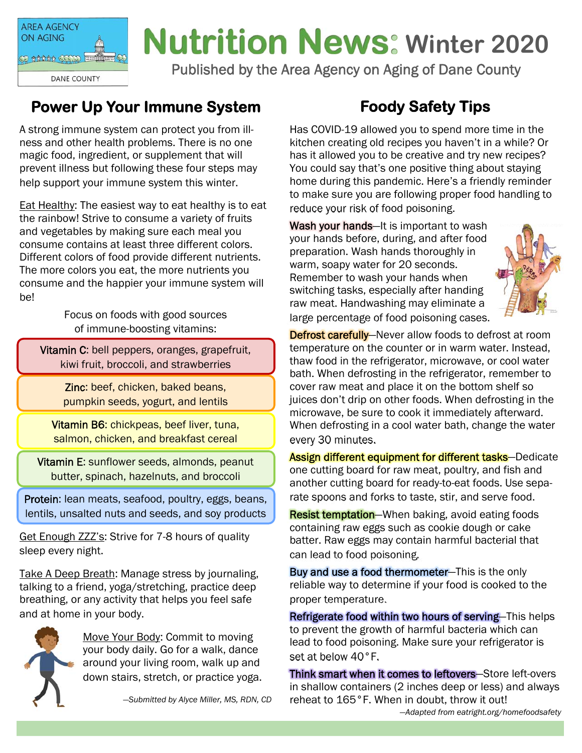

## **Nutrition News: Winter 2020**

Published by the Area Agency on Aging of Dane County

### **Power Up Your Immune System**

A strong immune system can protect you from illness and other health problems. There is no one magic food, ingredient, or supplement that will prevent illness but following these four steps may help support your immune system this winter.

Eat Healthy: The easiest way to eat healthy is to eat the rainbow! Strive to consume a variety of fruits and vegetables by making sure each meal you consume contains at least three different colors. Different colors of food provide different nutrients. The more colors you eat, the more nutrients you consume and the happier your immune system will be!

> Focus on foods with good sources of immune-boosting vitamins:

Vitamin C: bell peppers, oranges, grapefruit, kiwi fruit, broccoli, and strawberries

> Zinc: beef, chicken, baked beans, pumpkin seeds, yogurt, and lentils

Vitamin B6: chickpeas, beef liver, tuna, salmon, chicken, and breakfast cereal

Vitamin E: sunflower seeds, almonds, peanut butter, spinach, hazelnuts, and broccoli

Protein: lean meats, seafood, poultry, eggs, beans, lentils, unsalted nuts and seeds, and soy products

Get Enough ZZZ's: Strive for 7-8 hours of quality sleep every night.

Take A Deep Breath: Manage stress by journaling, talking to a friend, yoga/stretching, practice deep breathing, or any activity that helps you feel safe and at home in your body.



Move Your Body: Commit to moving your body daily. Go for a walk, dance around your living room, walk up and down stairs, stretch, or practice yoga.

*—Submitted by Alyce Miller, MS, RDN, CD* 

## **Foody Safety Tips**

Has COVID-19 allowed you to spend more time in the kitchen creating old recipes you haven't in a while? Or has it allowed you to be creative and try new recipes? You could say that's one positive thing about staying home during this pandemic. Here's a friendly reminder to make sure you are following proper food handling to reduce your risk of food poisoning.

Wash your hands—It is important to wash your hands before, during, and after food preparation. Wash hands thoroughly in warm, soapy water for 20 seconds. Remember to wash your hands when switching tasks, especially after handing raw meat. Handwashing may eliminate a large percentage of food poisoning cases.



**Defrost carefully**—Never allow foods to defrost at room temperature on the counter or in warm water. Instead, thaw food in the refrigerator, microwave, or cool water bath. When defrosting in the refrigerator, remember to cover raw meat and place it on the bottom shelf so juices don't drip on other foods. When defrosting in the microwave, be sure to cook it immediately afterward. When defrosting in a cool water bath, change the water every 30 minutes.

Assign different equipment for different tasks-Dedicate one cutting board for raw meat, poultry, and fish and another cutting board for ready-to-eat foods. Use separate spoons and forks to taste, stir, and serve food.

**Resist temptation**—When baking, avoid eating foods containing raw eggs such as cookie dough or cake batter. Raw eggs may contain harmful bacterial that can lead to food poisoning.

Buy and use a food thermometer—This is the only reliable way to determine if your food is cooked to the proper temperature.

Refrigerate food within two hours of serving—This helps to prevent the growth of harmful bacteria which can lead to food poisoning. Make sure your refrigerator is set at below 40°F.

Think smart when it comes to leftovers—Store left-overs in shallow containers (2 inches deep or less) and always reheat to 165°F. When in doubt, throw it out! *—Adapted from eatright.org/homefoodsafety*